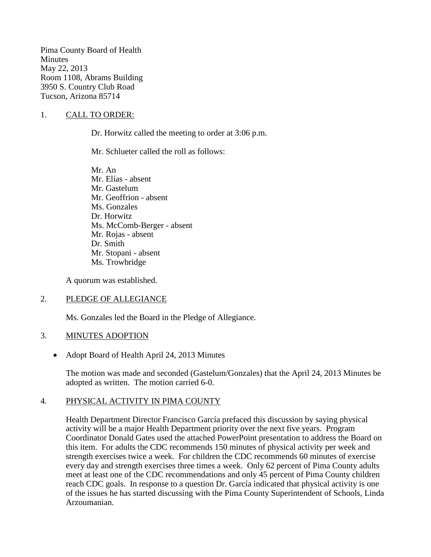Pima County Board of Health **Minutes** May 22, 2013 Room 1108, Abrams Building 3950 S. Country Club Road Tucson, Arizona 85714

### 1. CALL TO ORDER:

Dr. Horwitz called the meeting to order at 3:06 p.m.

Mr. Schlueter called the roll as follows:

Mr. An Mr. Elías - absent Mr. Gastelum Mr. Geoffrion - absent Ms. Gonzales Dr. Horwitz Ms. McComb-Berger - absent Mr. Rojas - absent Dr. Smith Mr. Stopani - absent Ms. Trowbridge

A quorum was established.

### 2. PLEDGE OF ALLEGIANCE

Ms. Gonzales led the Board in the Pledge of Allegiance.

### 3. MINUTES ADOPTION

• Adopt Board of Health April 24, 2013 Minutes

The motion was made and seconded (Gastelum/Gonzales) that the April 24, 2013 Minutes be adopted as written. The motion carried 6-0.

### 4. PHYSICAL ACTIVITY IN PIMA COUNTY

Health Department Director Francisco García prefaced this discussion by saying physical activity will be a major Health Department priority over the next five years. Program Coordinator Donald Gates used the attached PowerPoint presentation to address the Board on this item. For adults the CDC recommends 150 minutes of physical activity per week and strength exercises twice a week. For children the CDC recommends 60 minutes of exercise every day and strength exercises three times a week. Only 62 percent of Pima County adults meet at least one of the CDC recommendations and only 45 percent of Pima County children reach CDC goals. In response to a question Dr. García indicated that physical activity is one of the issues he has started discussing with the Pima County Superintendent of Schools, Linda Arzoumanian.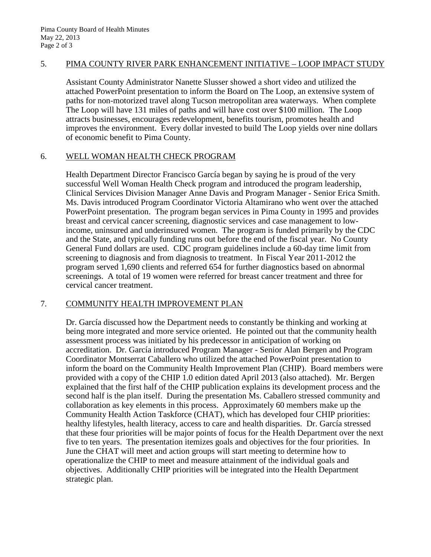### 5. PIMA COUNTY RIVER PARK ENHANCEMENT INITIATIVE – LOOP IMPACT STUDY

Assistant County Administrator Nanette Slusser showed a short video and utilized the attached PowerPoint presentation to inform the Board on The Loop, an extensive system of paths for non-motorized travel along Tucson metropolitan area waterways. When complete The Loop will have 131 miles of paths and will have cost over \$100 million. The Loop attracts businesses, encourages redevelopment, benefits tourism, promotes health and improves the environment. Every dollar invested to build The Loop yields over nine dollars of economic benefit to Pima County.

#### 6. WELL WOMAN HEALTH CHECK PROGRAM

Health Department Director Francisco García began by saying he is proud of the very successful Well Woman Health Check program and introduced the program leadership, Clinical Services Division Manager Anne Davis and Program Manager - Senior Erica Smith. Ms. Davis introduced Program Coordinator Victoria Altamirano who went over the attached PowerPoint presentation. The program began services in Pima County in 1995 and provides breast and cervical cancer screening, diagnostic services and case management to lowincome, uninsured and underinsured women. The program is funded primarily by the CDC and the State, and typically funding runs out before the end of the fiscal year. No County General Fund dollars are used. CDC program guidelines include a 60-day time limit from screening to diagnosis and from diagnosis to treatment. In Fiscal Year 2011-2012 the program served 1,690 clients and referred 654 for further diagnostics based on abnormal screenings. A total of 19 women were referred for breast cancer treatment and three for cervical cancer treatment.

# 7. COMMUNITY HEALTH IMPROVEMENT PLAN

Dr. García discussed how the Department needs to constantly be thinking and working at being more integrated and more service oriented. He pointed out that the community health assessment process was initiated by his predecessor in anticipation of working on accreditation. Dr. García introduced Program Manager - Senior Alan Bergen and Program Coordinator Montserrat Caballero who utilized the attached PowerPoint presentation to inform the board on the Community Health Improvement Plan (CHIP). Board members were provided with a copy of the CHIP 1.0 edition dated April 2013 (also attached). Mr. Bergen explained that the first half of the CHIP publication explains its development process and the second half is the plan itself. During the presentation Ms. Caballero stressed community and collaboration as key elements in this process. Approximately 60 members make up the Community Health Action Taskforce (CHAT), which has developed four CHIP priorities: healthy lifestyles, health literacy, access to care and health disparities. Dr. García stressed that these four priorities will be major points of focus for the Health Department over the next five to ten years. The presentation itemizes goals and objectives for the four priorities. In June the CHAT will meet and action groups will start meeting to determine how to operationalize the CHIP to meet and measure attainment of the individual goals and objectives. Additionally CHIP priorities will be integrated into the Health Department strategic plan.